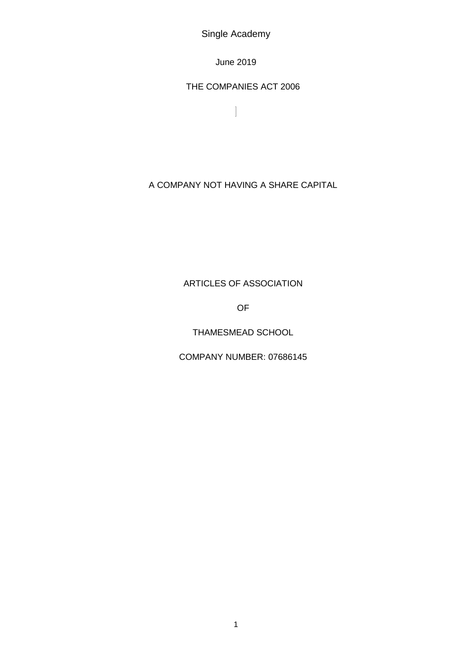Single Academy

June 2019

THE COMPANIES ACT 2006

 $\begin{array}{c} \hline \end{array}$ 

A COMPANY NOT HAVING A SHARE CAPITAL

# ARTICLES OF ASSOCIATION

OF

THAMESMEAD SCHOOL

COMPANY NUMBER: 07686145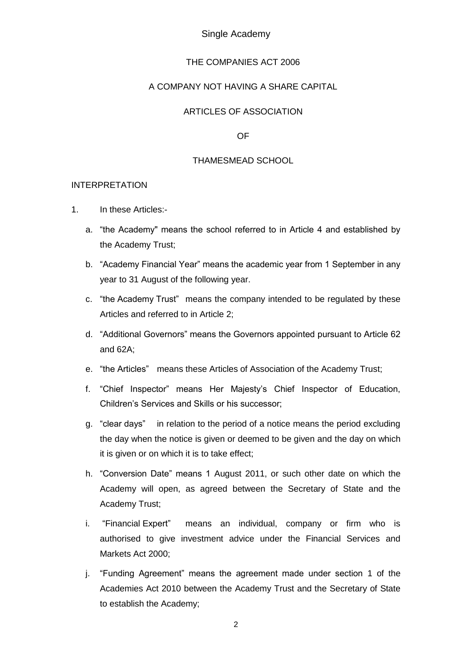### Single Academy

### THE COMPANIES ACT 2006

### A COMPANY NOT HAVING A SHARE CAPITAL

### ARTICLES OF ASSOCIATION

OF

### THAMESMEAD SCHOOL

#### INTERPRETATION

- 1. In these Articles:
	- a. "the Academy" means the school referred to in Article 4 and established by the Academy Trust;
	- b. "Academy Financial Year" means the academic year from 1 September in any year to 31 August of the following year.
	- c. "the Academy Trust" means the company intended to be regulated by these Articles and referred to in Article 2;
	- d. "Additional Governors" means the Governors appointed pursuant to Article 62 and 62A;
	- e. "the Articles" means these Articles of Association of the Academy Trust;
	- f. "Chief Inspector" means Her Majesty's Chief Inspector of Education, Children's Services and Skills or his successor;
	- g. "clear days" in relation to the period of a notice means the period excluding the day when the notice is given or deemed to be given and the day on which it is given or on which it is to take effect;
	- h. "Conversion Date" means 1 August 2011, or such other date on which the Academy will open, as agreed between the Secretary of State and the Academy Trust;
	- i. "Financial Expert" means an individual, company or firm who is authorised to give investment advice under the Financial Services and Markets Act 2000;
	- j. "Funding Agreement" means the agreement made under section 1 of the Academies Act 2010 between the Academy Trust and the Secretary of State to establish the Academy;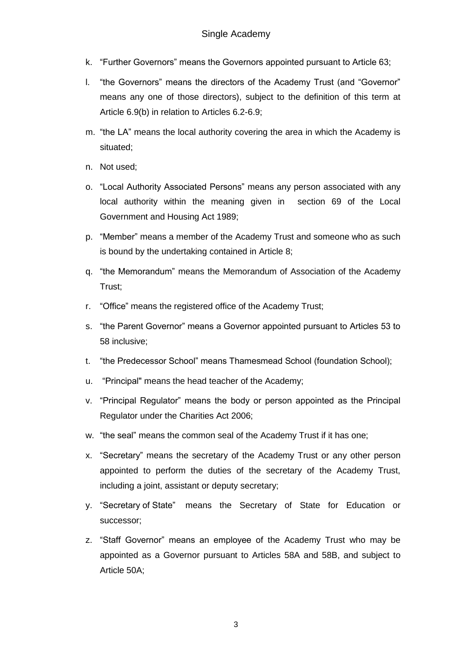- k. "Further Governors" means the Governors appointed pursuant to Article 63;
- l. "the Governors" means the directors of the Academy Trust (and "Governor" means any one of those directors), subject to the definition of this term at Article 6.9(b) in relation to Articles 6.2-6.9;
- m. "the LA" means the local authority covering the area in which the Academy is situated;
- n. Not used;
- o. "Local Authority Associated Persons" means any person associated with any local authority within the meaning given in section 69 of the Local Government and Housing Act 1989;
- p. "Member" means a member of the Academy Trust and someone who as such is bound by the undertaking contained in Article 8;
- q. "the Memorandum" means the Memorandum of Association of the Academy Trust;
- r. "Office" means the registered office of the Academy Trust;
- s. "the Parent Governor" means a Governor appointed pursuant to Articles 53 to 58 inclusive;
- t. "the Predecessor School" means Thamesmead School (foundation School);
- u. "Principal" means the head teacher of the Academy;
- v. "Principal Regulator" means the body or person appointed as the Principal Regulator under the Charities Act 2006;
- w. "the seal" means the common seal of the Academy Trust if it has one;
- x. "Secretary" means the secretary of the Academy Trust or any other person appointed to perform the duties of the secretary of the Academy Trust, including a joint, assistant or deputy secretary;
- y. "Secretary of State" means the Secretary of State for Education or successor;
- z. "Staff Governor" means an employee of the Academy Trust who may be appointed as a Governor pursuant to Articles 58A and 58B, and subject to Article 50A;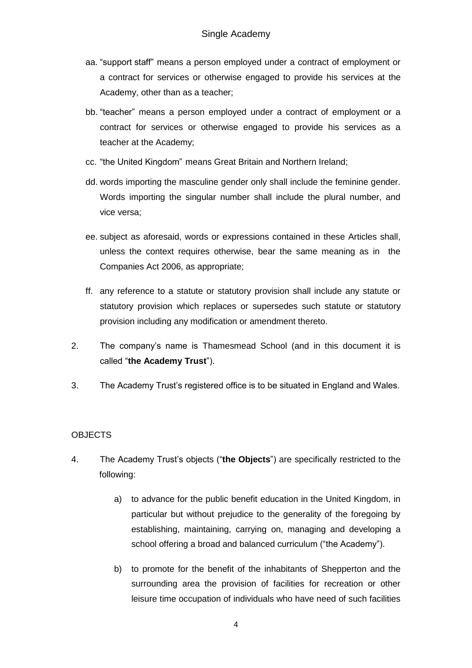- aa. "support staff" means a person employed under a contract of employment or a contract for services or otherwise engaged to provide his services at the Academy, other than as a teacher;
- bb. "teacher" means a person employed under a contract of employment or a contract for services or otherwise engaged to provide his services as a teacher at the Academy;
- cc. "the United Kingdom" means Great Britain and Northern Ireland;
- dd. words importing the masculine gender only shall include the feminine gender. Words importing the singular number shall include the plural number, and vice versa;
- ee. subject as aforesaid, words or expressions contained in these Articles shall, unless the context requires otherwise, bear the same meaning as in the Companies Act 2006, as appropriate;
- ff. any reference to a statute or statutory provision shall include any statute or statutory provision which replaces or supersedes such statute or statutory provision including any modification or amendment thereto.
- 2. The company's name is Thamesmead School (and in this document it is called "**the Academy Trust**").
- 3. The Academy Trust's registered office is to be situated in England and Wales.

# **OBJECTS**

- 4. The Academy Trust's objects ("**the Objects**") are specifically restricted to the following:
	- a) to advance for the public benefit education in the United Kingdom, in particular but without prejudice to the generality of the foregoing by establishing, maintaining, carrying on, managing and developing a school offering a broad and balanced curriculum ("the Academy").
	- b) to promote for the benefit of the inhabitants of Shepperton and the surrounding area the provision of facilities for recreation or other leisure time occupation of individuals who have need of such facilities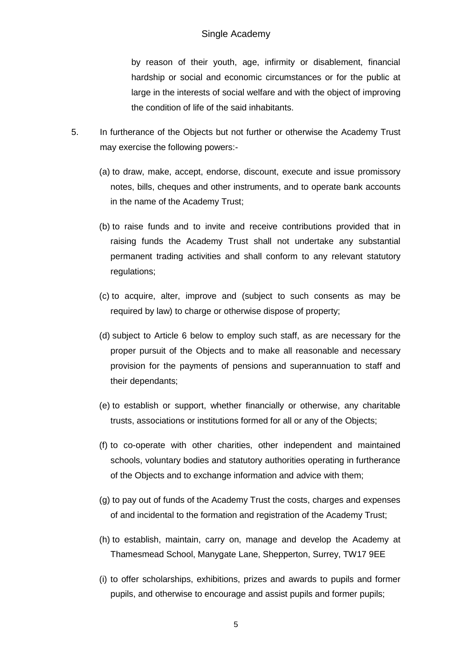by reason of their youth, age, infirmity or disablement, financial hardship or social and economic circumstances or for the public at large in the interests of social welfare and with the object of improving the condition of life of the said inhabitants.

- 5. In furtherance of the Objects but not further or otherwise the Academy Trust may exercise the following powers:-
	- (a) to draw, make, accept, endorse, discount, execute and issue promissory notes, bills, cheques and other instruments, and to operate bank accounts in the name of the Academy Trust;
	- (b) to raise funds and to invite and receive contributions provided that in raising funds the Academy Trust shall not undertake any substantial permanent trading activities and shall conform to any relevant statutory regulations;
	- (c) to acquire, alter, improve and (subject to such consents as may be required by law) to charge or otherwise dispose of property;
	- (d) subject to Article 6 below to employ such staff, as are necessary for the proper pursuit of the Objects and to make all reasonable and necessary provision for the payments of pensions and superannuation to staff and their dependants;
	- (e) to establish or support, whether financially or otherwise, any charitable trusts, associations or institutions formed for all or any of the Objects;
	- (f) to co-operate with other charities, other independent and maintained schools, voluntary bodies and statutory authorities operating in furtherance of the Objects and to exchange information and advice with them;
	- (g) to pay out of funds of the Academy Trust the costs, charges and expenses of and incidental to the formation and registration of the Academy Trust;
	- (h) to establish, maintain, carry on, manage and develop the Academy at Thamesmead School, Manygate Lane, Shepperton, Surrey, TW17 9EE
	- (i) to offer scholarships, exhibitions, prizes and awards to pupils and former pupils, and otherwise to encourage and assist pupils and former pupils;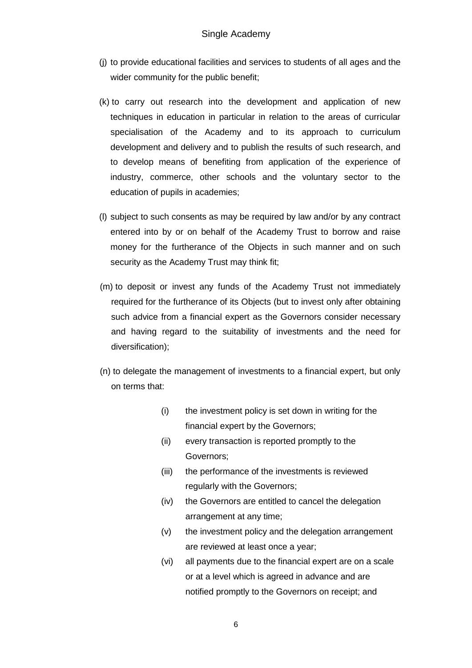- (j) to provide educational facilities and services to students of all ages and the wider community for the public benefit;
- (k) to carry out research into the development and application of new techniques in education in particular in relation to the areas of curricular specialisation of the Academy and to its approach to curriculum development and delivery and to publish the results of such research, and to develop means of benefiting from application of the experience of industry, commerce, other schools and the voluntary sector to the education of pupils in academies;
- (l) subject to such consents as may be required by law and/or by any contract entered into by or on behalf of the Academy Trust to borrow and raise money for the furtherance of the Objects in such manner and on such security as the Academy Trust may think fit;
- (m) to deposit or invest any funds of the Academy Trust not immediately required for the furtherance of its Objects (but to invest only after obtaining such advice from a financial expert as the Governors consider necessary and having regard to the suitability of investments and the need for diversification);
- (n) to delegate the management of investments to a financial expert, but only on terms that:
	- (i) the investment policy is set down in writing for the financial expert by the Governors;
	- (ii) every transaction is reported promptly to the Governors;
	- (iii) the performance of the investments is reviewed regularly with the Governors;
	- (iv) the Governors are entitled to cancel the delegation arrangement at any time;
	- (v) the investment policy and the delegation arrangement are reviewed at least once a year;
	- (vi) all payments due to the financial expert are on a scale or at a level which is agreed in advance and are notified promptly to the Governors on receipt; and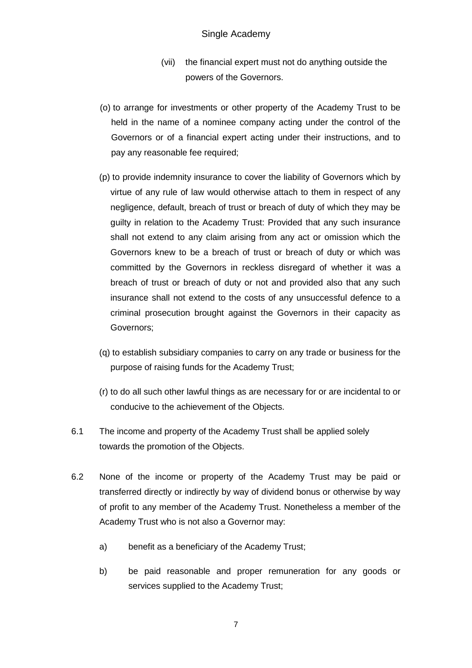### Single Academy

- (vii) the financial expert must not do anything outside the powers of the Governors.
- (o) to arrange for investments or other property of the Academy Trust to be held in the name of a nominee company acting under the control of the Governors or of a financial expert acting under their instructions, and to pay any reasonable fee required;
- (p) to provide indemnity insurance to cover the liability of Governors which by virtue of any rule of law would otherwise attach to them in respect of any negligence, default, breach of trust or breach of duty of which they may be guilty in relation to the Academy Trust: Provided that any such insurance shall not extend to any claim arising from any act or omission which the Governors knew to be a breach of trust or breach of duty or which was committed by the Governors in reckless disregard of whether it was a breach of trust or breach of duty or not and provided also that any such insurance shall not extend to the costs of any unsuccessful defence to a criminal prosecution brought against the Governors in their capacity as Governors;
- (q) to establish subsidiary companies to carry on any trade or business for the purpose of raising funds for the Academy Trust;
- (r) to do all such other lawful things as are necessary for or are incidental to or conducive to the achievement of the Objects.
- 6.1 The income and property of the Academy Trust shall be applied solely towards the promotion of the Objects.
- 6.2 None of the income or property of the Academy Trust may be paid or transferred directly or indirectly by way of dividend bonus or otherwise by way of profit to any member of the Academy Trust. Nonetheless a member of the Academy Trust who is not also a Governor may:
	- a) benefit as a beneficiary of the Academy Trust;
	- b) be paid reasonable and proper remuneration for any goods or services supplied to the Academy Trust;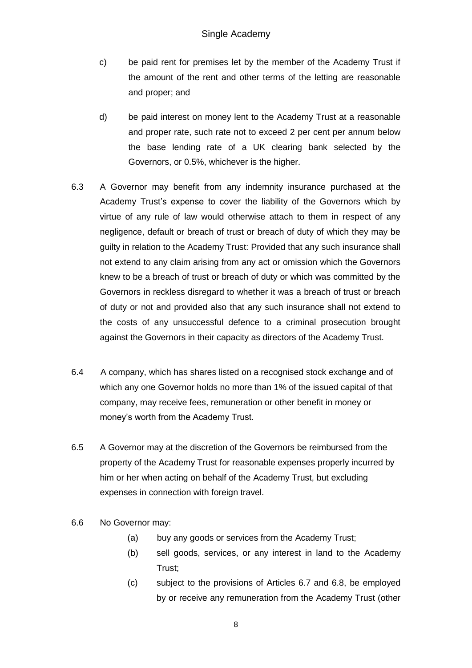- c) be paid rent for premises let by the member of the Academy Trust if the amount of the rent and other terms of the letting are reasonable and proper; and
- d) be paid interest on money lent to the Academy Trust at a reasonable and proper rate, such rate not to exceed 2 per cent per annum below the base lending rate of a UK clearing bank selected by the Governors, or 0.5%, whichever is the higher.
- 6.3 A Governor may benefit from any indemnity insurance purchased at the Academy Trust's expense to cover the liability of the Governors which by virtue of any rule of law would otherwise attach to them in respect of any negligence, default or breach of trust or breach of duty of which they may be guilty in relation to the Academy Trust: Provided that any such insurance shall not extend to any claim arising from any act or omission which the Governors knew to be a breach of trust or breach of duty or which was committed by the Governors in reckless disregard to whether it was a breach of trust or breach of duty or not and provided also that any such insurance shall not extend to the costs of any unsuccessful defence to a criminal prosecution brought against the Governors in their capacity as directors of the Academy Trust.
- 6.4 A company, which has shares listed on a recognised stock exchange and of which any one Governor holds no more than 1% of the issued capital of that company, may receive fees, remuneration or other benefit in money or money's worth from the Academy Trust.
- 6.5 A Governor may at the discretion of the Governors be reimbursed from the property of the Academy Trust for reasonable expenses properly incurred by him or her when acting on behalf of the Academy Trust, but excluding expenses in connection with foreign travel.
- 6.6 No Governor may:
	- (a) buy any goods or services from the Academy Trust;
	- (b) sell goods, services, or any interest in land to the Academy Trust;
	- (c) subject to the provisions of Articles 6.7 and 6.8, be employed by or receive any remuneration from the Academy Trust (other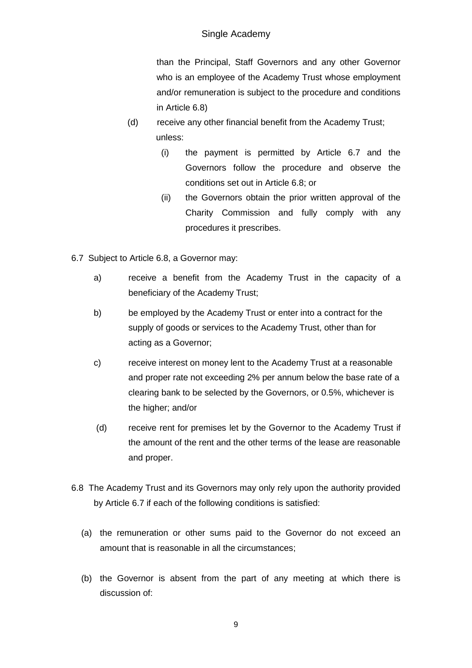# Single Academy

than the Principal, Staff Governors and any other Governor who is an employee of the Academy Trust whose employment and/or remuneration is subject to the procedure and conditions in Article 6.8)

- (d) receive any other financial benefit from the Academy Trust; unless:
	- (i) the payment is permitted by Article 6.7 and the Governors follow the procedure and observe the conditions set out in Article 6.8; or
	- (ii) the Governors obtain the prior written approval of the Charity Commission and fully comply with any procedures it prescribes.
- 6.7 Subject to Article 6.8, a Governor may:
	- a) receive a benefit from the Academy Trust in the capacity of a beneficiary of the Academy Trust;
	- b) be employed by the Academy Trust or enter into a contract for the supply of goods or services to the Academy Trust, other than for acting as a Governor;
	- c) receive interest on money lent to the Academy Trust at a reasonable and proper rate not exceeding 2% per annum below the base rate of a clearing bank to be selected by the Governors, or 0.5%, whichever is the higher; and/or
	- (d) receive rent for premises let by the Governor to the Academy Trust if the amount of the rent and the other terms of the lease are reasonable and proper.
- 6.8 The Academy Trust and its Governors may only rely upon the authority provided by Article 6.7 if each of the following conditions is satisfied:
	- (a) the remuneration or other sums paid to the Governor do not exceed an amount that is reasonable in all the circumstances;
	- (b) the Governor is absent from the part of any meeting at which there is discussion of: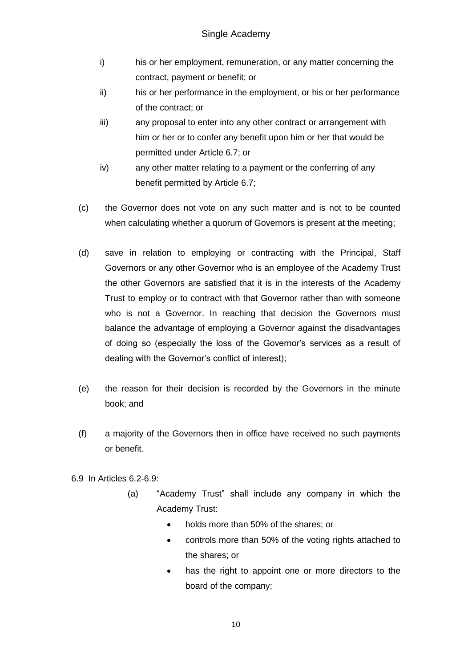- i) his or her employment, remuneration, or any matter concerning the contract, payment or benefit; or
- ii) his or her performance in the employment, or his or her performance of the contract; or
- iii) any proposal to enter into any other contract or arrangement with him or her or to confer any benefit upon him or her that would be permitted under Article 6.7; or
- iv) any other matter relating to a payment or the conferring of any benefit permitted by Article 6.7;
- (c) the Governor does not vote on any such matter and is not to be counted when calculating whether a quorum of Governors is present at the meeting;
- (d) save in relation to employing or contracting with the Principal, Staff Governors or any other Governor who is an employee of the Academy Trust the other Governors are satisfied that it is in the interests of the Academy Trust to employ or to contract with that Governor rather than with someone who is not a Governor. In reaching that decision the Governors must balance the advantage of employing a Governor against the disadvantages of doing so (especially the loss of the Governor's services as a result of dealing with the Governor's conflict of interest);
- (e) the reason for their decision is recorded by the Governors in the minute book; and
- (f) a majority of the Governors then in office have received no such payments or benefit.
- 6.9 In Articles 6.2-6.9:
	- (a) "Academy Trust" shall include any company in which the Academy Trust:
		- holds more than 50% of the shares; or
		- controls more than 50% of the voting rights attached to the shares; or
		- has the right to appoint one or more directors to the board of the company;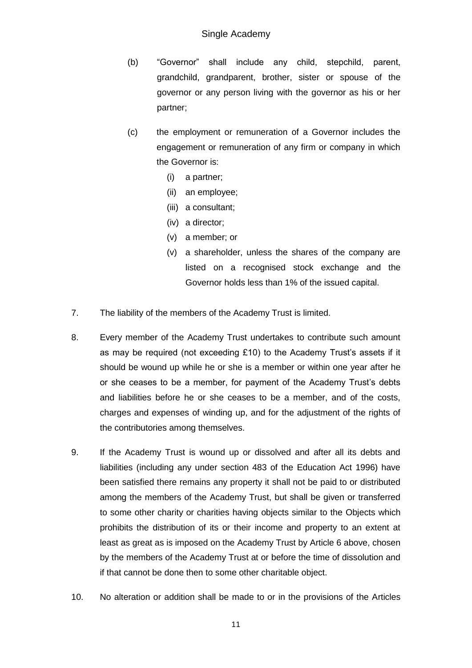- (b) "Governor" shall include any child, stepchild, parent, grandchild, grandparent, brother, sister or spouse of the governor or any person living with the governor as his or her partner;
- (c) the employment or remuneration of a Governor includes the engagement or remuneration of any firm or company in which the Governor is:
	- (i) a partner;
	- (ii) an employee;
	- (iii) a consultant;
	- (iv) a director;
	- (v) a member; or
	- (v) a shareholder, unless the shares of the company are listed on a recognised stock exchange and the Governor holds less than 1% of the issued capital.
- 7. The liability of the members of the Academy Trust is limited.
- 8. Every member of the Academy Trust undertakes to contribute such amount as may be required (not exceeding £10) to the Academy Trust's assets if it should be wound up while he or she is a member or within one year after he or she ceases to be a member, for payment of the Academy Trust's debts and liabilities before he or she ceases to be a member, and of the costs, charges and expenses of winding up, and for the adjustment of the rights of the contributories among themselves.
- 9. If the Academy Trust is wound up or dissolved and after all its debts and liabilities (including any under section 483 of the Education Act 1996) have been satisfied there remains any property it shall not be paid to or distributed among the members of the Academy Trust, but shall be given or transferred to some other charity or charities having objects similar to the Objects which prohibits the distribution of its or their income and property to an extent at least as great as is imposed on the Academy Trust by Article 6 above, chosen by the members of the Academy Trust at or before the time of dissolution and if that cannot be done then to some other charitable object.
- 10. No alteration or addition shall be made to or in the provisions of the Articles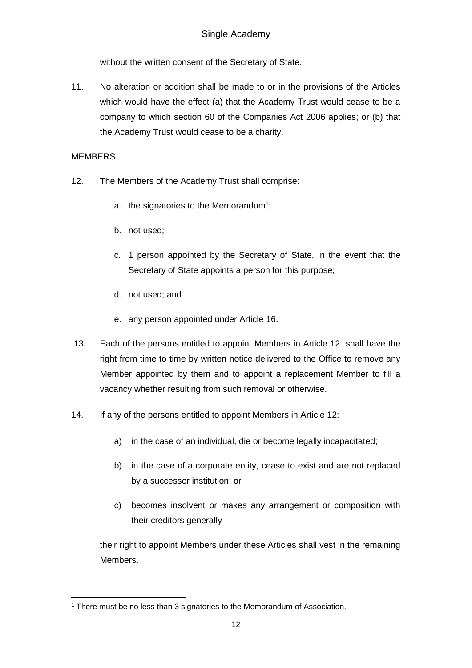without the written consent of the Secretary of State.

11. No alteration or addition shall be made to or in the provisions of the Articles which would have the effect (a) that the Academy Trust would cease to be a company to which section 60 of the Companies Act 2006 applies; or (b) that the Academy Trust would cease to be a charity.

## **MEMBERS**

- 12. The Members of the Academy Trust shall comprise:
	- a. the signatories to the Memorandum<sup>1</sup>;
	- b. not used;
	- c. 1 person appointed by the Secretary of State, in the event that the Secretary of State appoints a person for this purpose;
	- d. not used; and
	- e. any person appointed under Article 16.
- 13. Each of the persons entitled to appoint Members in Article 12 shall have the right from time to time by written notice delivered to the Office to remove any Member appointed by them and to appoint a replacement Member to fill a vacancy whether resulting from such removal or otherwise.
- 14. If any of the persons entitled to appoint Members in Article 12:
	- a) in the case of an individual, die or become legally incapacitated;
	- b) in the case of a corporate entity, cease to exist and are not replaced by a successor institution; or
	- c) becomes insolvent or makes any arrangement or composition with their creditors generally

their right to appoint Members under these Articles shall vest in the remaining Members.

<sup>1</sup> <sup>1</sup> There must be no less than 3 signatories to the Memorandum of Association.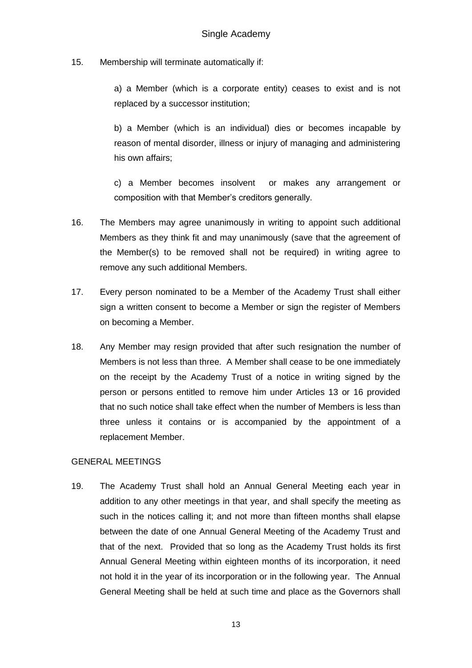15. Membership will terminate automatically if:

a) a Member (which is a corporate entity) ceases to exist and is not replaced by a successor institution;

b) a Member (which is an individual) dies or becomes incapable by reason of mental disorder, illness or injury of managing and administering his own affairs;

c) a Member becomes insolvent or makes any arrangement or composition with that Member's creditors generally.

- 16. The Members may agree unanimously in writing to appoint such additional Members as they think fit and may unanimously (save that the agreement of the Member(s) to be removed shall not be required) in writing agree to remove any such additional Members.
- 17. Every person nominated to be a Member of the Academy Trust shall either sign a written consent to become a Member or sign the register of Members on becoming a Member.
- 18. Any Member may resign provided that after such resignation the number of Members is not less than three. A Member shall cease to be one immediately on the receipt by the Academy Trust of a notice in writing signed by the person or persons entitled to remove him under Articles 13 or 16 provided that no such notice shall take effect when the number of Members is less than three unless it contains or is accompanied by the appointment of a replacement Member.

### GENERAL MEETINGS

19. The Academy Trust shall hold an Annual General Meeting each year in addition to any other meetings in that year, and shall specify the meeting as such in the notices calling it; and not more than fifteen months shall elapse between the date of one Annual General Meeting of the Academy Trust and that of the next. Provided that so long as the Academy Trust holds its first Annual General Meeting within eighteen months of its incorporation, it need not hold it in the year of its incorporation or in the following year. The Annual General Meeting shall be held at such time and place as the Governors shall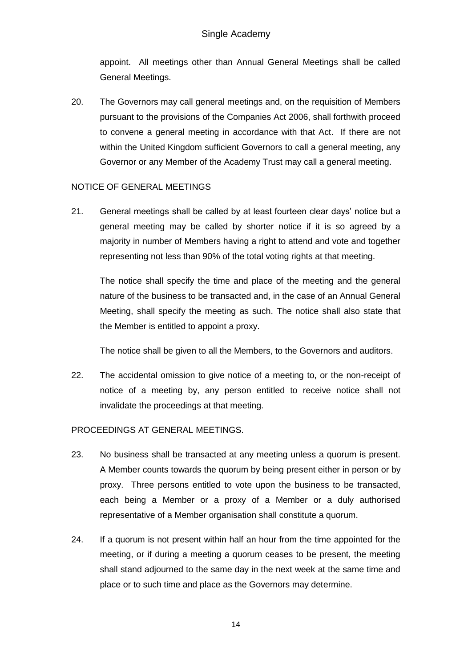appoint. All meetings other than Annual General Meetings shall be called General Meetings.

20. The Governors may call general meetings and, on the requisition of Members pursuant to the provisions of the Companies Act 2006, shall forthwith proceed to convene a general meeting in accordance with that Act. If there are not within the United Kingdom sufficient Governors to call a general meeting, any Governor or any Member of the Academy Trust may call a general meeting.

### NOTICE OF GENERAL MEETINGS

21. General meetings shall be called by at least fourteen clear days' notice but a general meeting may be called by shorter notice if it is so agreed by a majority in number of Members having a right to attend and vote and together representing not less than 90% of the total voting rights at that meeting.

The notice shall specify the time and place of the meeting and the general nature of the business to be transacted and, in the case of an Annual General Meeting, shall specify the meeting as such. The notice shall also state that the Member is entitled to appoint a proxy.

The notice shall be given to all the Members, to the Governors and auditors.

22. The accidental omission to give notice of a meeting to, or the non-receipt of notice of a meeting by, any person entitled to receive notice shall not invalidate the proceedings at that meeting.

# PROCEEDINGS AT GENERAL MEETINGS.

- 23. No business shall be transacted at any meeting unless a quorum is present. A Member counts towards the quorum by being present either in person or by proxy. Three persons entitled to vote upon the business to be transacted, each being a Member or a proxy of a Member or a duly authorised representative of a Member organisation shall constitute a quorum.
- 24. If a quorum is not present within half an hour from the time appointed for the meeting, or if during a meeting a quorum ceases to be present, the meeting shall stand adjourned to the same day in the next week at the same time and place or to such time and place as the Governors may determine.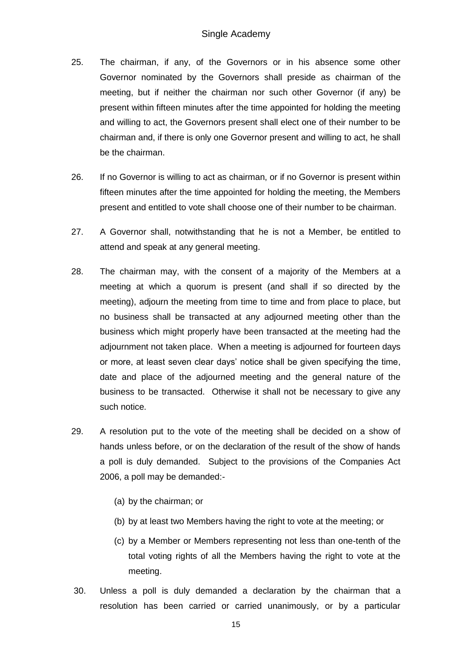- 25. The chairman, if any, of the Governors or in his absence some other Governor nominated by the Governors shall preside as chairman of the meeting, but if neither the chairman nor such other Governor (if any) be present within fifteen minutes after the time appointed for holding the meeting and willing to act, the Governors present shall elect one of their number to be chairman and, if there is only one Governor present and willing to act, he shall be the chairman.
- 26. If no Governor is willing to act as chairman, or if no Governor is present within fifteen minutes after the time appointed for holding the meeting, the Members present and entitled to vote shall choose one of their number to be chairman.
- 27. A Governor shall, notwithstanding that he is not a Member, be entitled to attend and speak at any general meeting.
- 28. The chairman may, with the consent of a majority of the Members at a meeting at which a quorum is present (and shall if so directed by the meeting), adjourn the meeting from time to time and from place to place, but no business shall be transacted at any adjourned meeting other than the business which might properly have been transacted at the meeting had the adjournment not taken place. When a meeting is adjourned for fourteen days or more, at least seven clear days' notice shall be given specifying the time, date and place of the adjourned meeting and the general nature of the business to be transacted. Otherwise it shall not be necessary to give any such notice.
- 29. A resolution put to the vote of the meeting shall be decided on a show of hands unless before, or on the declaration of the result of the show of hands a poll is duly demanded. Subject to the provisions of the Companies Act 2006, a poll may be demanded:-
	- (a) by the chairman; or
	- (b) by at least two Members having the right to vote at the meeting; or
	- (c) by a Member or Members representing not less than one-tenth of the total voting rights of all the Members having the right to vote at the meeting.
- 30. Unless a poll is duly demanded a declaration by the chairman that a resolution has been carried or carried unanimously, or by a particular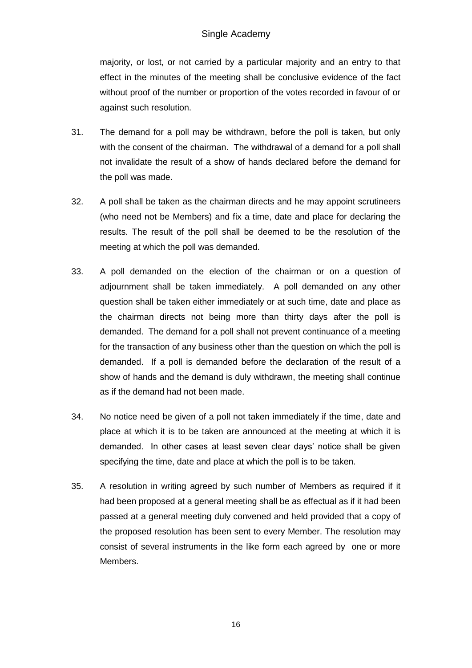# Single Academy

majority, or lost, or not carried by a particular majority and an entry to that effect in the minutes of the meeting shall be conclusive evidence of the fact without proof of the number or proportion of the votes recorded in favour of or against such resolution.

- 31. The demand for a poll may be withdrawn, before the poll is taken, but only with the consent of the chairman. The withdrawal of a demand for a poll shall not invalidate the result of a show of hands declared before the demand for the poll was made.
- 32. A poll shall be taken as the chairman directs and he may appoint scrutineers (who need not be Members) and fix a time, date and place for declaring the results. The result of the poll shall be deemed to be the resolution of the meeting at which the poll was demanded.
- 33. A poll demanded on the election of the chairman or on a question of adjournment shall be taken immediately. A poll demanded on any other question shall be taken either immediately or at such time, date and place as the chairman directs not being more than thirty days after the poll is demanded. The demand for a poll shall not prevent continuance of a meeting for the transaction of any business other than the question on which the poll is demanded. If a poll is demanded before the declaration of the result of a show of hands and the demand is duly withdrawn, the meeting shall continue as if the demand had not been made.
- 34. No notice need be given of a poll not taken immediately if the time, date and place at which it is to be taken are announced at the meeting at which it is demanded. In other cases at least seven clear days' notice shall be given specifying the time, date and place at which the poll is to be taken.
- 35. A resolution in writing agreed by such number of Members as required if it had been proposed at a general meeting shall be as effectual as if it had been passed at a general meeting duly convened and held provided that a copy of the proposed resolution has been sent to every Member. The resolution may consist of several instruments in the like form each agreed by one or more Members.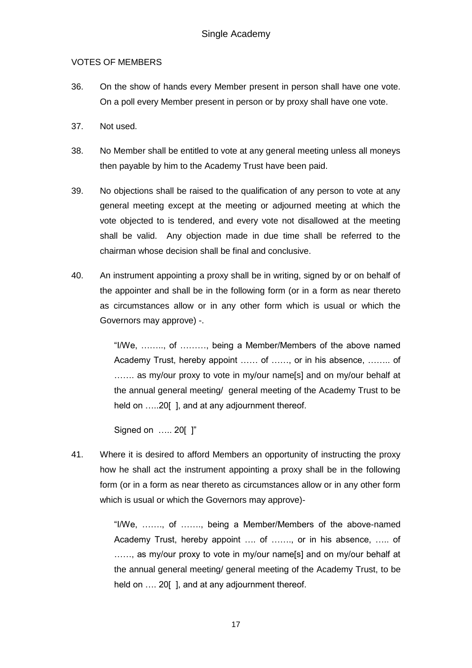### VOTES OF MEMBERS

- 36. On the show of hands every Member present in person shall have one vote. On a poll every Member present in person or by proxy shall have one vote.
- 37. Not used.
- 38. No Member shall be entitled to vote at any general meeting unless all moneys then payable by him to the Academy Trust have been paid.
- 39. No objections shall be raised to the qualification of any person to vote at any general meeting except at the meeting or adjourned meeting at which the vote objected to is tendered, and every vote not disallowed at the meeting shall be valid. Any objection made in due time shall be referred to the chairman whose decision shall be final and conclusive.
- 40. An instrument appointing a proxy shall be in writing, signed by or on behalf of the appointer and shall be in the following form (or in a form as near thereto as circumstances allow or in any other form which is usual or which the Governors may approve) -.

"I/We, …….., of ………, being a Member/Members of the above named Academy Trust, hereby appoint …… of ……, or in his absence, …….. of ……. as my/our proxy to vote in my/our name[s] and on my/our behalf at the annual general meeting/ general meeting of the Academy Trust to be held on .....20[], and at any adjournment thereof.

Signed on ….. 20[ ]"

41. Where it is desired to afford Members an opportunity of instructing the proxy how he shall act the instrument appointing a proxy shall be in the following form (or in a form as near thereto as circumstances allow or in any other form which is usual or which the Governors may approve)-

> "I/We, ……., of ……., being a Member/Members of the above-named Academy Trust, hereby appoint …. of ……., or in his absence, ….. of ......, as my/our proxy to vote in my/our name[s] and on my/our behalf at the annual general meeting/ general meeting of the Academy Trust, to be held on .... 20[], and at any adjournment thereof.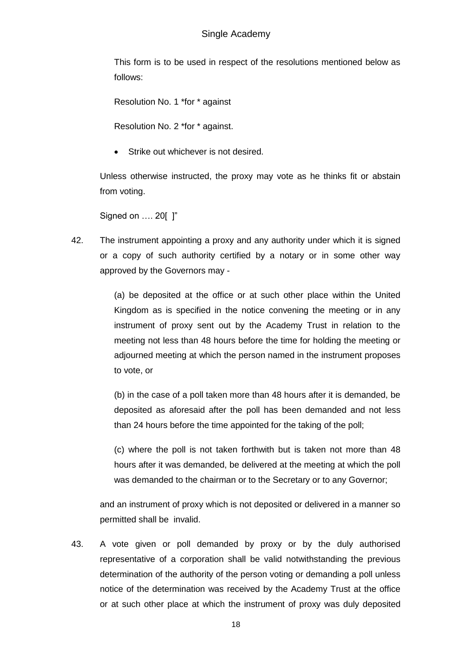This form is to be used in respect of the resolutions mentioned below as follows:

Resolution No. 1 \*for \* against

Resolution No. 2 \*for \* against.

Strike out whichever is not desired.

Unless otherwise instructed, the proxy may vote as he thinks fit or abstain from voting.

Signed on …. 20[ ]"

42. The instrument appointing a proxy and any authority under which it is signed or a copy of such authority certified by a notary or in some other way approved by the Governors may -

> (a) be deposited at the office or at such other place within the United Kingdom as is specified in the notice convening the meeting or in any instrument of proxy sent out by the Academy Trust in relation to the meeting not less than 48 hours before the time for holding the meeting or adjourned meeting at which the person named in the instrument proposes to vote, or

> (b) in the case of a poll taken more than 48 hours after it is demanded, be deposited as aforesaid after the poll has been demanded and not less than 24 hours before the time appointed for the taking of the poll;

> (c) where the poll is not taken forthwith but is taken not more than 48 hours after it was demanded, be delivered at the meeting at which the poll was demanded to the chairman or to the Secretary or to any Governor;

and an instrument of proxy which is not deposited or delivered in a manner so permitted shall be invalid.

43. A vote given or poll demanded by proxy or by the duly authorised representative of a corporation shall be valid notwithstanding the previous determination of the authority of the person voting or demanding a poll unless notice of the determination was received by the Academy Trust at the office or at such other place at which the instrument of proxy was duly deposited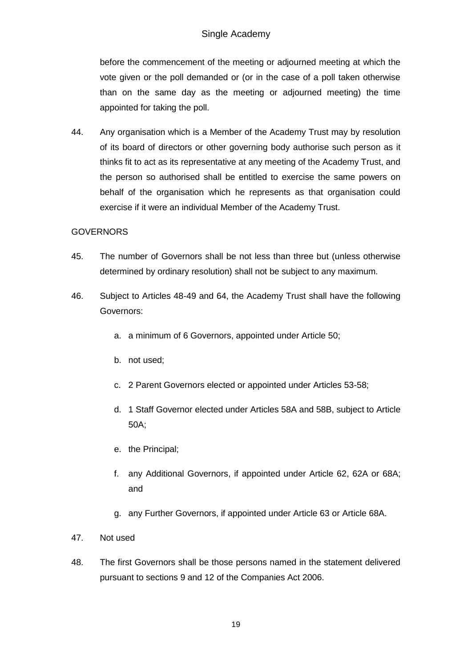before the commencement of the meeting or adjourned meeting at which the vote given or the poll demanded or (or in the case of a poll taken otherwise than on the same day as the meeting or adjourned meeting) the time appointed for taking the poll.

44. Any organisation which is a Member of the Academy Trust may by resolution of its board of directors or other governing body authorise such person as it thinks fit to act as its representative at any meeting of the Academy Trust, and the person so authorised shall be entitled to exercise the same powers on behalf of the organisation which he represents as that organisation could exercise if it were an individual Member of the Academy Trust.

# GOVERNORS

- 45. The number of Governors shall be not less than three but (unless otherwise determined by ordinary resolution) shall not be subject to any maximum.
- 46. Subject to Articles 48-49 and 64, the Academy Trust shall have the following Governors:
	- a. a minimum of 6 Governors, appointed under Article 50;
	- b. not used;
	- c. 2 Parent Governors elected or appointed under Articles 53-58;
	- d. 1 Staff Governor elected under Articles 58A and 58B, subject to Article 50A;
	- e. the Principal;
	- f. any Additional Governors, if appointed under Article 62, 62A or 68A; and
	- g. any Further Governors, if appointed under Article 63 or Article 68A.
- 47. Not used
- 48. The first Governors shall be those persons named in the statement delivered pursuant to sections 9 and 12 of the Companies Act 2006.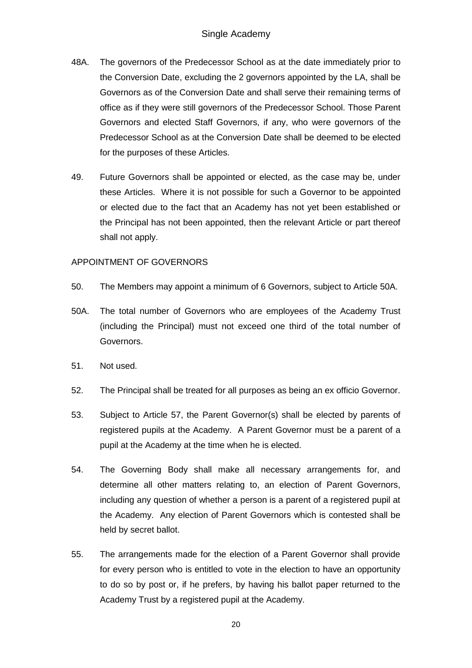- 48A. The governors of the Predecessor School as at the date immediately prior to the Conversion Date, excluding the 2 governors appointed by the LA, shall be Governors as of the Conversion Date and shall serve their remaining terms of office as if they were still governors of the Predecessor School. Those Parent Governors and elected Staff Governors, if any, who were governors of the Predecessor School as at the Conversion Date shall be deemed to be elected for the purposes of these Articles.
- 49. Future Governors shall be appointed or elected, as the case may be, under these Articles. Where it is not possible for such a Governor to be appointed or elected due to the fact that an Academy has not yet been established or the Principal has not been appointed, then the relevant Article or part thereof shall not apply.

# APPOINTMENT OF GOVERNORS

- 50. The Members may appoint a minimum of 6 Governors, subject to Article 50A.
- 50A. The total number of Governors who are employees of the Academy Trust (including the Principal) must not exceed one third of the total number of Governors.
- 51. Not used.
- 52. The Principal shall be treated for all purposes as being an ex officio Governor.
- 53. Subject to Article 57, the Parent Governor(s) shall be elected by parents of registered pupils at the Academy. A Parent Governor must be a parent of a pupil at the Academy at the time when he is elected.
- 54. The Governing Body shall make all necessary arrangements for, and determine all other matters relating to, an election of Parent Governors, including any question of whether a person is a parent of a registered pupil at the Academy. Any election of Parent Governors which is contested shall be held by secret ballot.
- 55. The arrangements made for the election of a Parent Governor shall provide for every person who is entitled to vote in the election to have an opportunity to do so by post or, if he prefers, by having his ballot paper returned to the Academy Trust by a registered pupil at the Academy.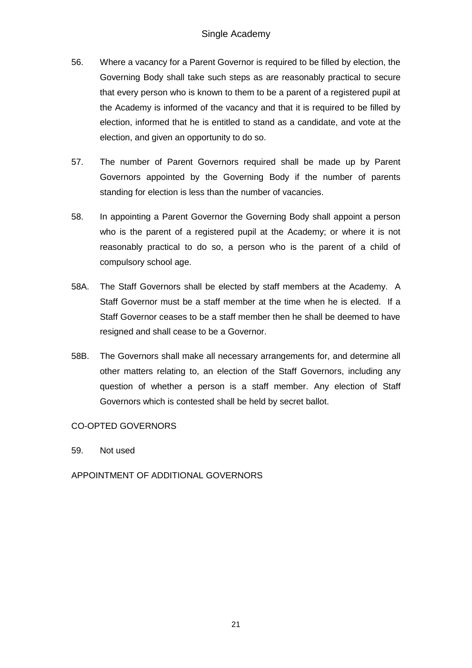- 56. Where a vacancy for a Parent Governor is required to be filled by election, the Governing Body shall take such steps as are reasonably practical to secure that every person who is known to them to be a parent of a registered pupil at the Academy is informed of the vacancy and that it is required to be filled by election, informed that he is entitled to stand as a candidate, and vote at the election, and given an opportunity to do so.
- 57. The number of Parent Governors required shall be made up by Parent Governors appointed by the Governing Body if the number of parents standing for election is less than the number of vacancies.
- 58. In appointing a Parent Governor the Governing Body shall appoint a person who is the parent of a registered pupil at the Academy; or where it is not reasonably practical to do so, a person who is the parent of a child of compulsory school age.
- 58A. The Staff Governors shall be elected by staff members at the Academy. A Staff Governor must be a staff member at the time when he is elected. If a Staff Governor ceases to be a staff member then he shall be deemed to have resigned and shall cease to be a Governor.
- 58B. The Governors shall make all necessary arrangements for, and determine all other matters relating to, an election of the Staff Governors, including any question of whether a person is a staff member. Any election of Staff Governors which is contested shall be held by secret ballot.

# CO-OPTED GOVERNORS

59. Not used

APPOINTMENT OF ADDITIONAL GOVERNORS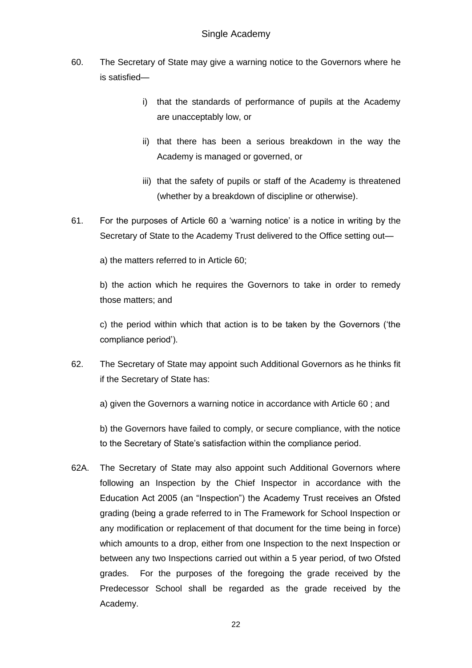- 60. The Secretary of State may give a warning notice to the Governors where he is satisfied
	- i) that the standards of performance of pupils at the Academy are unacceptably low, or
	- ii) that there has been a serious breakdown in the way the Academy is managed or governed, or
	- iii) that the safety of pupils or staff of the Academy is threatened (whether by a breakdown of discipline or otherwise).
- 61. For the purposes of Article 60 a 'warning notice' is a notice in writing by the Secretary of State to the Academy Trust delivered to the Office setting out—

a) the matters referred to in Article 60;

b) the action which he requires the Governors to take in order to remedy those matters; and

c) the period within which that action is to be taken by the Governors ('the compliance period').

62. The Secretary of State may appoint such Additional Governors as he thinks fit if the Secretary of State has:

a) given the Governors a warning notice in accordance with Article 60 ; and

b) the Governors have failed to comply, or secure compliance, with the notice to the Secretary of State's satisfaction within the compliance period.

62A. The Secretary of State may also appoint such Additional Governors where following an Inspection by the Chief Inspector in accordance with the Education Act 2005 (an "Inspection") the Academy Trust receives an Ofsted grading (being a grade referred to in The Framework for School Inspection or any modification or replacement of that document for the time being in force) which amounts to a drop, either from one Inspection to the next Inspection or between any two Inspections carried out within a 5 year period, of two Ofsted grades. For the purposes of the foregoing the grade received by the Predecessor School shall be regarded as the grade received by the Academy.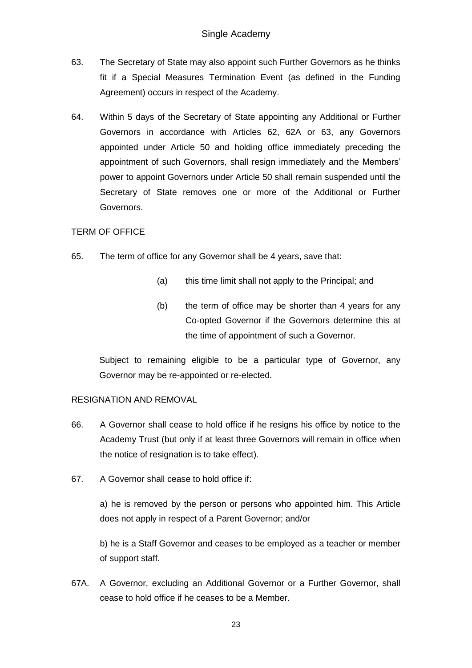- 63. The Secretary of State may also appoint such Further Governors as he thinks fit if a Special Measures Termination Event (as defined in the Funding Agreement) occurs in respect of the Academy.
- 64. Within 5 days of the Secretary of State appointing any Additional or Further Governors in accordance with Articles 62, 62A or 63, any Governors appointed under Article 50 and holding office immediately preceding the appointment of such Governors, shall resign immediately and the Members' power to appoint Governors under Article 50 shall remain suspended until the Secretary of State removes one or more of the Additional or Further Governors.

# TERM OF OFFICE

- 65. The term of office for any Governor shall be 4 years, save that:
	- (a) this time limit shall not apply to the Principal; and
	- (b) the term of office may be shorter than 4 years for any Co-opted Governor if the Governors determine this at the time of appointment of such a Governor.

Subject to remaining eligible to be a particular type of Governor, any Governor may be re-appointed or re-elected.

# RESIGNATION AND REMOVAL

- 66. A Governor shall cease to hold office if he resigns his office by notice to the Academy Trust (but only if at least three Governors will remain in office when the notice of resignation is to take effect).
- 67. A Governor shall cease to hold office if:

a) he is removed by the person or persons who appointed him. This Article does not apply in respect of a Parent Governor; and/or

b) he is a Staff Governor and ceases to be employed as a teacher or member of support staff.

67A. A Governor, excluding an Additional Governor or a Further Governor, shall cease to hold office if he ceases to be a Member.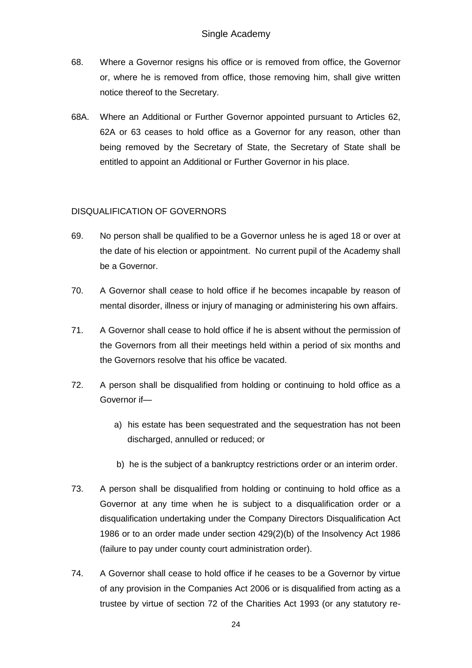- 68. Where a Governor resigns his office or is removed from office, the Governor or, where he is removed from office, those removing him, shall give written notice thereof to the Secretary.
- 68A. Where an Additional or Further Governor appointed pursuant to Articles 62, 62A or 63 ceases to hold office as a Governor for any reason, other than being removed by the Secretary of State, the Secretary of State shall be entitled to appoint an Additional or Further Governor in his place.

# DISQUALIFICATION OF GOVERNORS

- 69. No person shall be qualified to be a Governor unless he is aged 18 or over at the date of his election or appointment. No current pupil of the Academy shall be a Governor.
- 70. A Governor shall cease to hold office if he becomes incapable by reason of mental disorder, illness or injury of managing or administering his own affairs.
- 71. A Governor shall cease to hold office if he is absent without the permission of the Governors from all their meetings held within a period of six months and the Governors resolve that his office be vacated.
- 72. A person shall be disqualified from holding or continuing to hold office as a Governor if
	- a) his estate has been sequestrated and the sequestration has not been discharged, annulled or reduced; or
	- b) he is the subject of a bankruptcy restrictions order or an interim order.
- 73. A person shall be disqualified from holding or continuing to hold office as a Governor at any time when he is subject to a disqualification order or a disqualification undertaking under the Company Directors Disqualification Act 1986 or to an order made under section 429(2)(b) of the Insolvency Act 1986 (failure to pay under county court administration order).
- 74. A Governor shall cease to hold office if he ceases to be a Governor by virtue of any provision in the Companies Act 2006 or is disqualified from acting as a trustee by virtue of section 72 of the Charities Act 1993 (or any statutory re-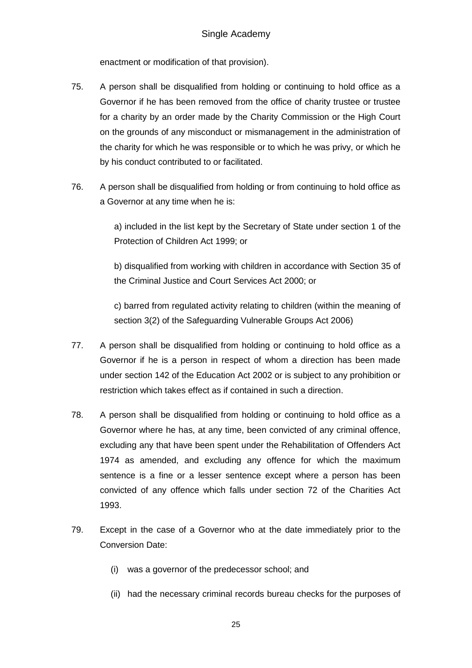enactment or modification of that provision).

- 75. A person shall be disqualified from holding or continuing to hold office as a Governor if he has been removed from the office of charity trustee or trustee for a charity by an order made by the Charity Commission or the High Court on the grounds of any misconduct or mismanagement in the administration of the charity for which he was responsible or to which he was privy, or which he by his conduct contributed to or facilitated.
- 76. A person shall be disqualified from holding or from continuing to hold office as a Governor at any time when he is:

a) included in the list kept by the Secretary of State under section 1 of the Protection of Children Act 1999; or

b) disqualified from working with children in accordance with Section 35 of the Criminal Justice and Court Services Act 2000; or

c) barred from regulated activity relating to children (within the meaning of section 3(2) of the Safeguarding Vulnerable Groups Act 2006)

- 77. A person shall be disqualified from holding or continuing to hold office as a Governor if he is a person in respect of whom a direction has been made under section 142 of the Education Act 2002 or is subject to any prohibition or restriction which takes effect as if contained in such a direction.
- 78. A person shall be disqualified from holding or continuing to hold office as a Governor where he has, at any time, been convicted of any criminal offence, excluding any that have been spent under the Rehabilitation of Offenders Act 1974 as amended, and excluding any offence for which the maximum sentence is a fine or a lesser sentence except where a person has been convicted of any offence which falls under section 72 of the Charities Act 1993.
- 79. Except in the case of a Governor who at the date immediately prior to the Conversion Date:
	- (i) was a governor of the predecessor school; and
	- (ii) had the necessary criminal records bureau checks for the purposes of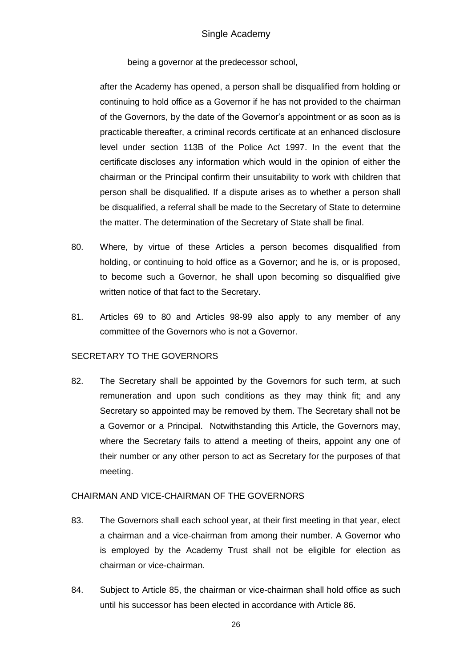being a governor at the predecessor school,

after the Academy has opened, a person shall be disqualified from holding or continuing to hold office as a Governor if he has not provided to the chairman of the Governors, by the date of the Governor's appointment or as soon as is practicable thereafter, a criminal records certificate at an enhanced disclosure level under section 113B of the Police Act 1997. In the event that the certificate discloses any information which would in the opinion of either the chairman or the Principal confirm their unsuitability to work with children that person shall be disqualified. If a dispute arises as to whether a person shall be disqualified, a referral shall be made to the Secretary of State to determine the matter. The determination of the Secretary of State shall be final.

- 80. Where, by virtue of these Articles a person becomes disqualified from holding, or continuing to hold office as a Governor; and he is, or is proposed, to become such a Governor, he shall upon becoming so disqualified give written notice of that fact to the Secretary.
- 81. Articles 69 to 80 and Articles 98-99 also apply to any member of any committee of the Governors who is not a Governor.

### SECRETARY TO THE GOVERNORS

82. The Secretary shall be appointed by the Governors for such term, at such remuneration and upon such conditions as they may think fit; and any Secretary so appointed may be removed by them. The Secretary shall not be a Governor or a Principal. Notwithstanding this Article, the Governors may, where the Secretary fails to attend a meeting of theirs, appoint any one of their number or any other person to act as Secretary for the purposes of that meeting.

#### CHAIRMAN AND VICE-CHAIRMAN OF THE GOVERNORS

- 83. The Governors shall each school year, at their first meeting in that year, elect a chairman and a vice-chairman from among their number. A Governor who is employed by the Academy Trust shall not be eligible for election as chairman or vice-chairman.
- 84. Subject to Article 85, the chairman or vice-chairman shall hold office as such until his successor has been elected in accordance with Article 86.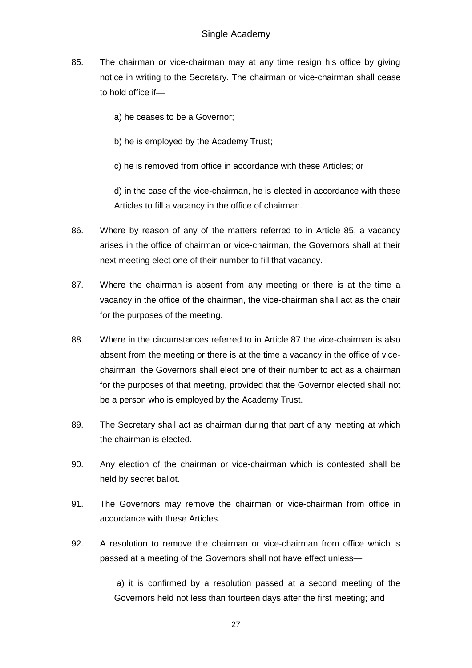- 85. The chairman or vice-chairman may at any time resign his office by giving notice in writing to the Secretary. The chairman or vice-chairman shall cease to hold office if
	- a) he ceases to be a Governor;
	- b) he is employed by the Academy Trust;

c) he is removed from office in accordance with these Articles; or

d) in the case of the vice-chairman, he is elected in accordance with these Articles to fill a vacancy in the office of chairman.

- 86. Where by reason of any of the matters referred to in Article 85, a vacancy arises in the office of chairman or vice-chairman, the Governors shall at their next meeting elect one of their number to fill that vacancy.
- 87. Where the chairman is absent from any meeting or there is at the time a vacancy in the office of the chairman, the vice-chairman shall act as the chair for the purposes of the meeting.
- 88. Where in the circumstances referred to in Article 87 the vice-chairman is also absent from the meeting or there is at the time a vacancy in the office of vicechairman, the Governors shall elect one of their number to act as a chairman for the purposes of that meeting, provided that the Governor elected shall not be a person who is employed by the Academy Trust.
- 89. The Secretary shall act as chairman during that part of any meeting at which the chairman is elected.
- 90. Any election of the chairman or vice-chairman which is contested shall be held by secret ballot.
- 91. The Governors may remove the chairman or vice-chairman from office in accordance with these Articles.
- 92. A resolution to remove the chairman or vice-chairman from office which is passed at a meeting of the Governors shall not have effect unless—

a) it is confirmed by a resolution passed at a second meeting of the Governors held not less than fourteen days after the first meeting; and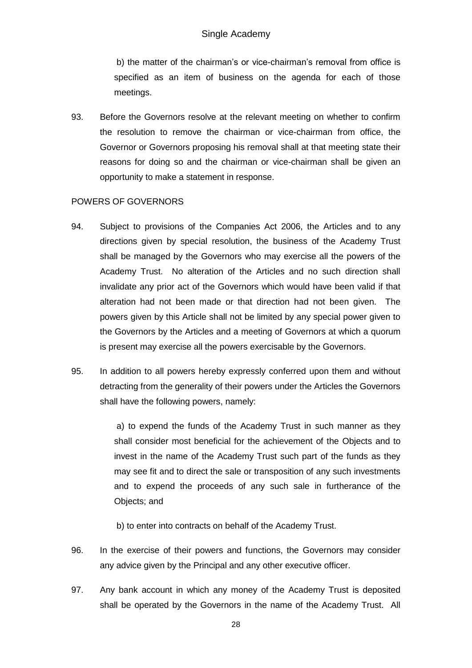b) the matter of the chairman's or vice-chairman's removal from office is specified as an item of business on the agenda for each of those meetings.

93. Before the Governors resolve at the relevant meeting on whether to confirm the resolution to remove the chairman or vice-chairman from office, the Governor or Governors proposing his removal shall at that meeting state their reasons for doing so and the chairman or vice-chairman shall be given an opportunity to make a statement in response.

### POWERS OF GOVERNORS

- 94. Subject to provisions of the Companies Act 2006, the Articles and to any directions given by special resolution, the business of the Academy Trust shall be managed by the Governors who may exercise all the powers of the Academy Trust. No alteration of the Articles and no such direction shall invalidate any prior act of the Governors which would have been valid if that alteration had not been made or that direction had not been given. The powers given by this Article shall not be limited by any special power given to the Governors by the Articles and a meeting of Governors at which a quorum is present may exercise all the powers exercisable by the Governors.
- 95. In addition to all powers hereby expressly conferred upon them and without detracting from the generality of their powers under the Articles the Governors shall have the following powers, namely:

a) to expend the funds of the Academy Trust in such manner as they shall consider most beneficial for the achievement of the Objects and to invest in the name of the Academy Trust such part of the funds as they may see fit and to direct the sale or transposition of any such investments and to expend the proceeds of any such sale in furtherance of the Objects; and

b) to enter into contracts on behalf of the Academy Trust.

- 96. In the exercise of their powers and functions, the Governors may consider any advice given by the Principal and any other executive officer.
- 97. Any bank account in which any money of the Academy Trust is deposited shall be operated by the Governors in the name of the Academy Trust. All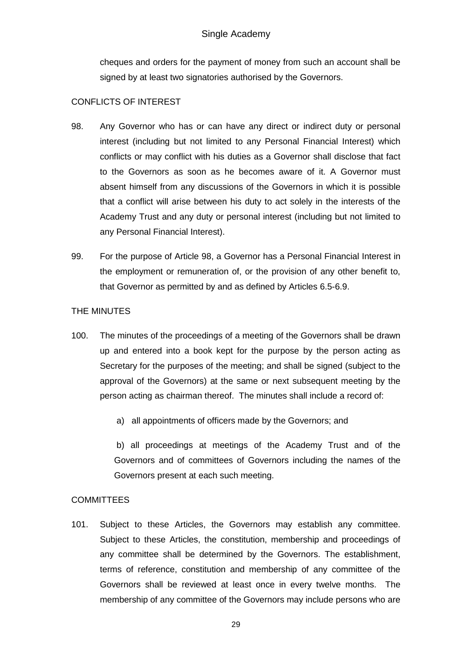cheques and orders for the payment of money from such an account shall be signed by at least two signatories authorised by the Governors.

# CONFLICTS OF INTEREST

- 98. Any Governor who has or can have any direct or indirect duty or personal interest (including but not limited to any Personal Financial Interest) which conflicts or may conflict with his duties as a Governor shall disclose that fact to the Governors as soon as he becomes aware of it. A Governor must absent himself from any discussions of the Governors in which it is possible that a conflict will arise between his duty to act solely in the interests of the Academy Trust and any duty or personal interest (including but not limited to any Personal Financial Interest).
- 99. For the purpose of Article 98, a Governor has a Personal Financial Interest in the employment or remuneration of, or the provision of any other benefit to, that Governor as permitted by and as defined by Articles 6.5-6.9.

# THE MINUTES

- 100. The minutes of the proceedings of a meeting of the Governors shall be drawn up and entered into a book kept for the purpose by the person acting as Secretary for the purposes of the meeting; and shall be signed (subject to the approval of the Governors) at the same or next subsequent meeting by the person acting as chairman thereof. The minutes shall include a record of:
	- a) all appointments of officers made by the Governors; and

b) all proceedings at meetings of the Academy Trust and of the Governors and of committees of Governors including the names of the Governors present at each such meeting.

# COMMITTEES

101. Subject to these Articles, the Governors may establish any committee. Subject to these Articles, the constitution, membership and proceedings of any committee shall be determined by the Governors. The establishment, terms of reference, constitution and membership of any committee of the Governors shall be reviewed at least once in every twelve months. The membership of any committee of the Governors may include persons who are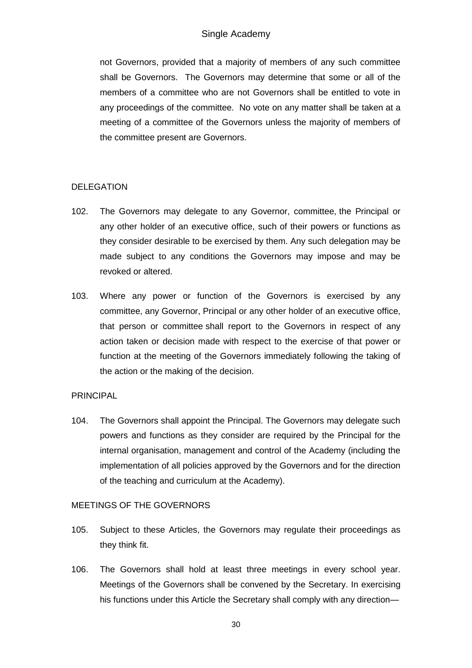not Governors, provided that a majority of members of any such committee shall be Governors. The Governors may determine that some or all of the members of a committee who are not Governors shall be entitled to vote in any proceedings of the committee. No vote on any matter shall be taken at a meeting of a committee of the Governors unless the majority of members of the committee present are Governors.

# DELEGATION

- 102. The Governors may delegate to any Governor, committee, the Principal or any other holder of an executive office, such of their powers or functions as they consider desirable to be exercised by them. Any such delegation may be made subject to any conditions the Governors may impose and may be revoked or altered.
- 103. Where any power or function of the Governors is exercised by any committee, any Governor, Principal or any other holder of an executive office, that person or committee shall report to the Governors in respect of any action taken or decision made with respect to the exercise of that power or function at the meeting of the Governors immediately following the taking of the action or the making of the decision.

# PRINCIPAL

104. The Governors shall appoint the Principal. The Governors may delegate such powers and functions as they consider are required by the Principal for the internal organisation, management and control of the Academy (including the implementation of all policies approved by the Governors and for the direction of the teaching and curriculum at the Academy).

# MEETINGS OF THE GOVERNORS

- 105. Subject to these Articles, the Governors may regulate their proceedings as they think fit.
- 106. The Governors shall hold at least three meetings in every school year. Meetings of the Governors shall be convened by the Secretary. In exercising his functions under this Article the Secretary shall comply with any direction—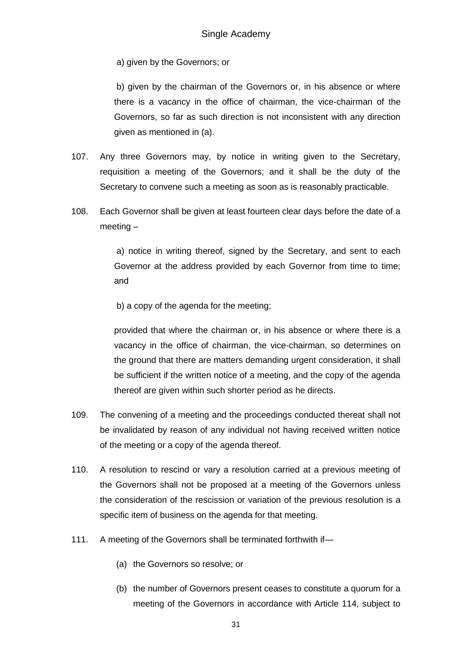a) given by the Governors; or

b) given by the chairman of the Governors or, in his absence or where there is a vacancy in the office of chairman, the vice-chairman of the Governors, so far as such direction is not inconsistent with any direction given as mentioned in (a).

- 107. Any three Governors may, by notice in writing given to the Secretary, requisition a meeting of the Governors; and it shall be the duty of the Secretary to convene such a meeting as soon as is reasonably practicable.
- 108. Each Governor shall be given at least fourteen clear days before the date of a meeting –

a) notice in writing thereof, signed by the Secretary, and sent to each Governor at the address provided by each Governor from time to time; and

b) a copy of the agenda for the meeting;

provided that where the chairman or, in his absence or where there is a vacancy in the office of chairman, the vice-chairman, so determines on the ground that there are matters demanding urgent consideration, it shall be sufficient if the written notice of a meeting, and the copy of the agenda thereof are given within such shorter period as he directs.

- 109. The convening of a meeting and the proceedings conducted thereat shall not be invalidated by reason of any individual not having received written notice of the meeting or a copy of the agenda thereof.
- 110. A resolution to rescind or vary a resolution carried at a previous meeting of the Governors shall not be proposed at a meeting of the Governors unless the consideration of the rescission or variation of the previous resolution is a specific item of business on the agenda for that meeting.
- 111. A meeting of the Governors shall be terminated forthwith if—
	- (a) the Governors so resolve; or
	- (b) the number of Governors present ceases to constitute a quorum for a meeting of the Governors in accordance with Article 114, subject to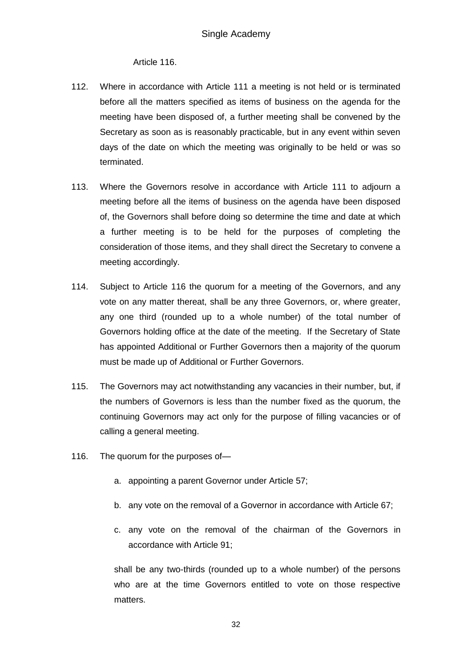### Article 116.

- 112. Where in accordance with Article 111 a meeting is not held or is terminated before all the matters specified as items of business on the agenda for the meeting have been disposed of, a further meeting shall be convened by the Secretary as soon as is reasonably practicable, but in any event within seven days of the date on which the meeting was originally to be held or was so terminated.
- 113. Where the Governors resolve in accordance with Article 111 to adjourn a meeting before all the items of business on the agenda have been disposed of, the Governors shall before doing so determine the time and date at which a further meeting is to be held for the purposes of completing the consideration of those items, and they shall direct the Secretary to convene a meeting accordingly.
- 114. Subject to Article 116 the quorum for a meeting of the Governors, and any vote on any matter thereat, shall be any three Governors, or, where greater, any one third (rounded up to a whole number) of the total number of Governors holding office at the date of the meeting. If the Secretary of State has appointed Additional or Further Governors then a majority of the quorum must be made up of Additional or Further Governors.
- 115. The Governors may act notwithstanding any vacancies in their number, but, if the numbers of Governors is less than the number fixed as the quorum, the continuing Governors may act only for the purpose of filling vacancies or of calling a general meeting.
- 116. The quorum for the purposes of
	- a. appointing a parent Governor under Article 57;
	- b. any vote on the removal of a Governor in accordance with Article 67;
	- c. any vote on the removal of the chairman of the Governors in accordance with Article 91;

shall be any two-thirds (rounded up to a whole number) of the persons who are at the time Governors entitled to vote on those respective matters.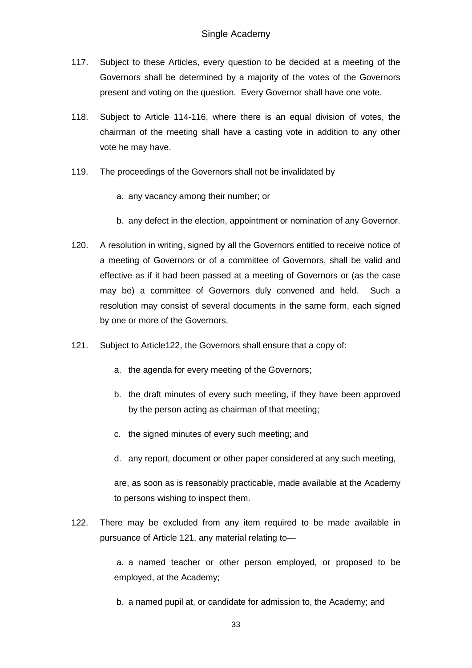- 117. Subject to these Articles, every question to be decided at a meeting of the Governors shall be determined by a majority of the votes of the Governors present and voting on the question. Every Governor shall have one vote.
- 118. Subject to Article 114-116, where there is an equal division of votes, the chairman of the meeting shall have a casting vote in addition to any other vote he may have.
- 119. The proceedings of the Governors shall not be invalidated by
	- a. any vacancy among their number; or
	- b. any defect in the election, appointment or nomination of any Governor.
- 120. A resolution in writing, signed by all the Governors entitled to receive notice of a meeting of Governors or of a committee of Governors, shall be valid and effective as if it had been passed at a meeting of Governors or (as the case may be) a committee of Governors duly convened and held. Such a resolution may consist of several documents in the same form, each signed by one or more of the Governors.
- 121. Subject to Article122, the Governors shall ensure that a copy of:
	- a. the agenda for every meeting of the Governors;
	- b. the draft minutes of every such meeting, if they have been approved by the person acting as chairman of that meeting;
	- c. the signed minutes of every such meeting; and
	- d. any report, document or other paper considered at any such meeting,

are, as soon as is reasonably practicable, made available at the Academy to persons wishing to inspect them.

122. There may be excluded from any item required to be made available in pursuance of Article 121, any material relating to—

> a. a named teacher or other person employed, or proposed to be employed, at the Academy;

b. a named pupil at, or candidate for admission to, the Academy; and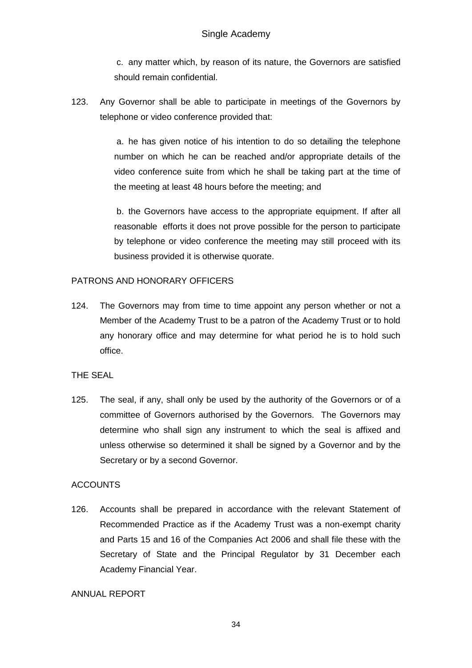c. any matter which, by reason of its nature, the Governors are satisfied should remain confidential.

123. Any Governor shall be able to participate in meetings of the Governors by telephone or video conference provided that:

> a. he has given notice of his intention to do so detailing the telephone number on which he can be reached and/or appropriate details of the video conference suite from which he shall be taking part at the time of the meeting at least 48 hours before the meeting; and

> b. the Governors have access to the appropriate equipment. If after all reasonable efforts it does not prove possible for the person to participate by telephone or video conference the meeting may still proceed with its business provided it is otherwise quorate.

# PATRONS AND HONORARY OFFICERS

124. The Governors may from time to time appoint any person whether or not a Member of the Academy Trust to be a patron of the Academy Trust or to hold any honorary office and may determine for what period he is to hold such office.

### THE SEAL

125. The seal, if any, shall only be used by the authority of the Governors or of a committee of Governors authorised by the Governors. The Governors may determine who shall sign any instrument to which the seal is affixed and unless otherwise so determined it shall be signed by a Governor and by the Secretary or by a second Governor.

### **ACCOUNTS**

126. Accounts shall be prepared in accordance with the relevant Statement of Recommended Practice as if the Academy Trust was a non-exempt charity and Parts 15 and 16 of the Companies Act 2006 and shall file these with the Secretary of State and the Principal Regulator by 31 December each Academy Financial Year.

### ANNUAL REPORT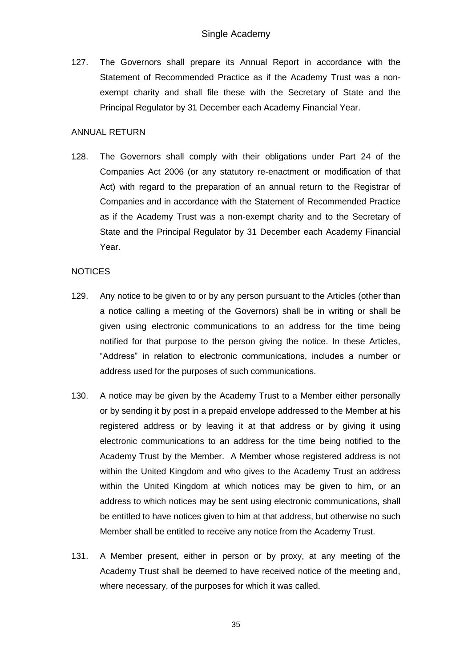127. The Governors shall prepare its Annual Report in accordance with the Statement of Recommended Practice as if the Academy Trust was a nonexempt charity and shall file these with the Secretary of State and the Principal Regulator by 31 December each Academy Financial Year.

### ANNUAL RETURN

128. The Governors shall comply with their obligations under Part 24 of the Companies Act 2006 (or any statutory re-enactment or modification of that Act) with regard to the preparation of an annual return to the Registrar of Companies and in accordance with the Statement of Recommended Practice as if the Academy Trust was a non-exempt charity and to the Secretary of State and the Principal Regulator by 31 December each Academy Financial Year.

### **NOTICES**

- 129. Any notice to be given to or by any person pursuant to the Articles (other than a notice calling a meeting of the Governors) shall be in writing or shall be given using electronic communications to an address for the time being notified for that purpose to the person giving the notice. In these Articles, "Address" in relation to electronic communications, includes a number or address used for the purposes of such communications.
- 130. A notice may be given by the Academy Trust to a Member either personally or by sending it by post in a prepaid envelope addressed to the Member at his registered address or by leaving it at that address or by giving it using electronic communications to an address for the time being notified to the Academy Trust by the Member. A Member whose registered address is not within the United Kingdom and who gives to the Academy Trust an address within the United Kingdom at which notices may be given to him, or an address to which notices may be sent using electronic communications, shall be entitled to have notices given to him at that address, but otherwise no such Member shall be entitled to receive any notice from the Academy Trust.
- 131. A Member present, either in person or by proxy, at any meeting of the Academy Trust shall be deemed to have received notice of the meeting and, where necessary, of the purposes for which it was called.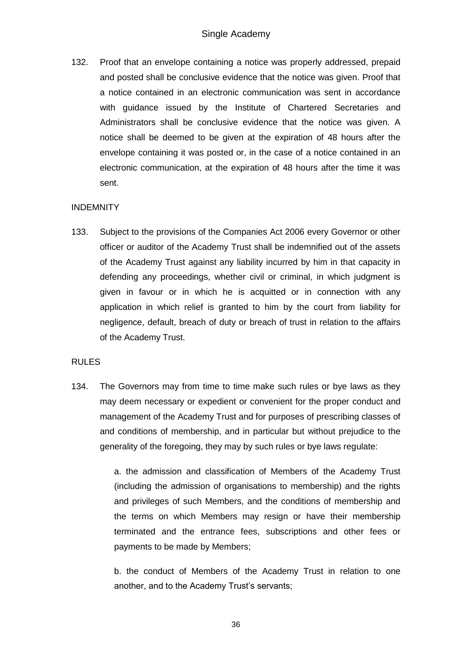132. Proof that an envelope containing a notice was properly addressed, prepaid and posted shall be conclusive evidence that the notice was given. Proof that a notice contained in an electronic communication was sent in accordance with guidance issued by the Institute of Chartered Secretaries and Administrators shall be conclusive evidence that the notice was given. A notice shall be deemed to be given at the expiration of 48 hours after the envelope containing it was posted or, in the case of a notice contained in an electronic communication, at the expiration of 48 hours after the time it was sent.

# **INDEMNITY**

133. Subject to the provisions of the Companies Act 2006 every Governor or other officer or auditor of the Academy Trust shall be indemnified out of the assets of the Academy Trust against any liability incurred by him in that capacity in defending any proceedings, whether civil or criminal, in which judgment is given in favour or in which he is acquitted or in connection with any application in which relief is granted to him by the court from liability for negligence, default, breach of duty or breach of trust in relation to the affairs of the Academy Trust.

### RULES

134. The Governors may from time to time make such rules or bye laws as they may deem necessary or expedient or convenient for the proper conduct and management of the Academy Trust and for purposes of prescribing classes of and conditions of membership, and in particular but without prejudice to the generality of the foregoing, they may by such rules or bye laws regulate:

> a. the admission and classification of Members of the Academy Trust (including the admission of organisations to membership) and the rights and privileges of such Members, and the conditions of membership and the terms on which Members may resign or have their membership terminated and the entrance fees, subscriptions and other fees or payments to be made by Members;

> b. the conduct of Members of the Academy Trust in relation to one another, and to the Academy Trust's servants;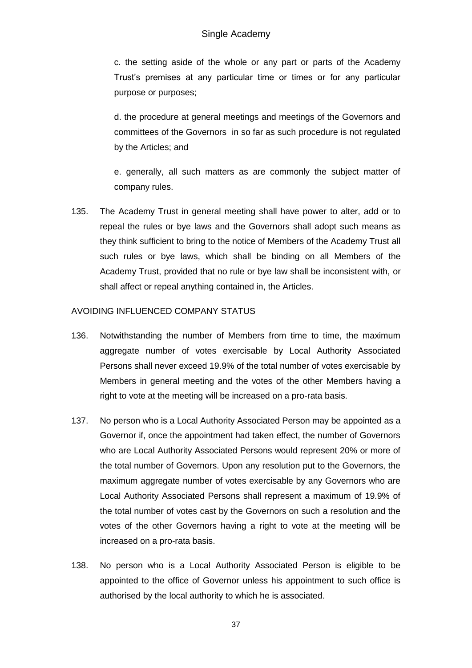## Single Academy

c. the setting aside of the whole or any part or parts of the Academy Trust's premises at any particular time or times or for any particular purpose or purposes;

d. the procedure at general meetings and meetings of the Governors and committees of the Governors in so far as such procedure is not regulated by the Articles; and

e. generally, all such matters as are commonly the subject matter of company rules.

135. The Academy Trust in general meeting shall have power to alter, add or to repeal the rules or bye laws and the Governors shall adopt such means as they think sufficient to bring to the notice of Members of the Academy Trust all such rules or bye laws, which shall be binding on all Members of the Academy Trust, provided that no rule or bye law shall be inconsistent with, or shall affect or repeal anything contained in, the Articles.

### AVOIDING INFLUENCED COMPANY STATUS

- 136. Notwithstanding the number of Members from time to time, the maximum aggregate number of votes exercisable by Local Authority Associated Persons shall never exceed 19.9% of the total number of votes exercisable by Members in general meeting and the votes of the other Members having a right to vote at the meeting will be increased on a pro-rata basis.
- 137. No person who is a Local Authority Associated Person may be appointed as a Governor if, once the appointment had taken effect, the number of Governors who are Local Authority Associated Persons would represent 20% or more of the total number of Governors. Upon any resolution put to the Governors, the maximum aggregate number of votes exercisable by any Governors who are Local Authority Associated Persons shall represent a maximum of 19.9% of the total number of votes cast by the Governors on such a resolution and the votes of the other Governors having a right to vote at the meeting will be increased on a pro-rata basis.
- 138. No person who is a Local Authority Associated Person is eligible to be appointed to the office of Governor unless his appointment to such office is authorised by the local authority to which he is associated.